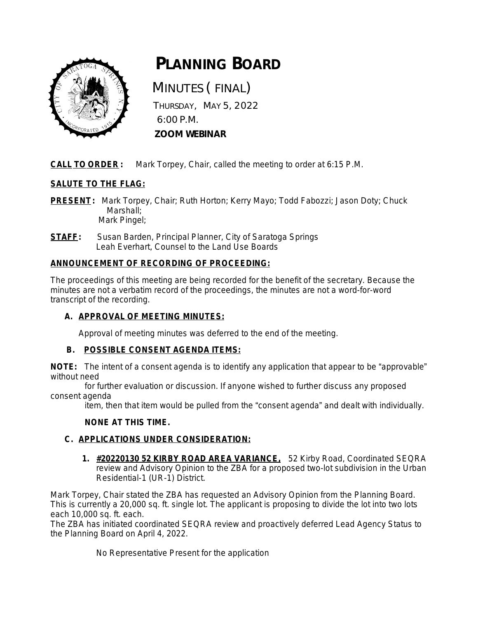

# **PLANNING BOARD**

 MINUTES ( FINAL) THURSDAY, MAY 5, 2022 6:00 P.M.  **ZOOM WEBINAR**

**CALL TO ORDER :** Mark Torpey, Chair, called the meeting to order at 6:15 P.M.

# **SALUTE TO THE FLAG:**

**PRESENT:** Mark Torpey, Chair; Ruth Horton; Kerry Mayo; Todd Fabozzi; Jason Doty; Chuck Marshall; Mark Pingel;

**STAFF:** Susan Barden, Principal Planner, City of Saratoga Springs Leah Everhart, Counsel to the Land Use Boards

# **ANNOUNCEMENT OF RECORDING OF PROCEEDING:**

The proceedings of this meeting are being recorded for the benefit of the secretary. Because the minutes are not a verbatim record of the proceedings, the minutes are not a word-for-word transcript of the recording.

# **A. APPROVAL OF MEETING MINUTES:**

Approval of meeting minutes was deferred to the end of the meeting.

# **B. POSSIBLE CONSENT AGENDA ITEMS:**

**NOTE:** The intent of a consent agenda is to identify any application that appear to be "approvable" without need

 for further evaluation or discussion. If anyone wished to further discuss any proposed consent agenda

item, then that item would be pulled from the "consent agenda" and dealt with individually.

# **NONE AT THIS TIME.**

# **C. APPLICATIONS UNDER CONSIDERATION:**

**1. #20220130 52 KIRBY ROAD AREA VARIANCE,** 52 Kirby Road, Coordinated SEQRA review and Advisory Opinion to the ZBA for a proposed two-lot subdivision in the Urban Residential-1 (UR-1) District.

Mark Torpey, Chair stated the ZBA has requested an Advisory Opinion from the Planning Board. This is currently a 20,000 sq. ft. single lot. The applicant is proposing to divide the lot into two lots each 10,000 sq. ft. each.

The ZBA has initiated coordinated SEQRA review and proactively deferred Lead Agency Status to the Planning Board on April 4, 2022.

No Representative Present for the application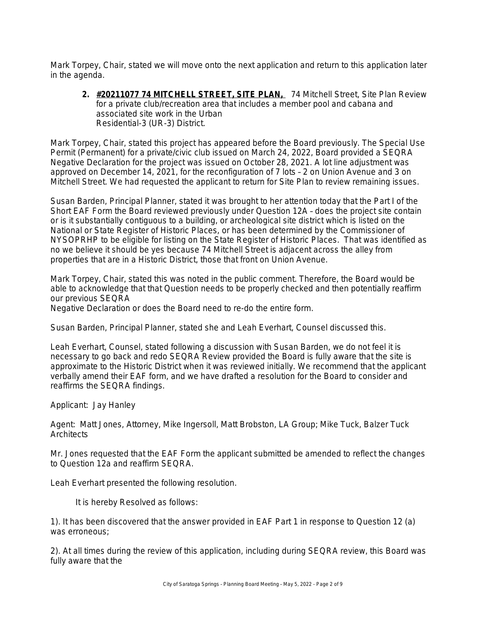Mark Torpey, Chair, stated we will move onto the next application and return to this application later in the agenda.

**2. #20211077 74 MITCHELL STREET, SITE PLAN,** 74 Mitchell Street, Site Plan Review for a private club/recreation area that includes a member pool and cabana and associated site work in the Urban Residential-3 (UR-3) District.

Mark Torpey, Chair, stated this project has appeared before the Board previously. The Special Use Permit (Permanent) for a private/civic club issued on March 24, 2022, Board provided a SEQRA Negative Declaration for the project was issued on October 28, 2021. A lot line adjustment was approved on December 14, 2021, for the reconfiguration of 7 lots – 2 on Union Avenue and 3 on Mitchell Street. We had requested the applicant to return for Site Plan to review remaining issues.

Susan Barden, Principal Planner, stated it was brought to her attention today that the Part I of the Short EAF Form the Board reviewed previously under Question 12A – does the project site contain or is it substantially contiguous to a building, or archeological site district which is listed on the National or State Register of Historic Places, or has been determined by the Commissioner of NYSOPRHP to be eligible for listing on the State Register of Historic Places. That was identified as no we believe it should be yes because 74 Mitchell Street is adjacent across the alley from properties that are in a Historic District, those that front on Union Avenue.

Mark Torpey, Chair, stated this was noted in the public comment. Therefore, the Board would be able to acknowledge that that Question needs to be properly checked and then potentially reaffirm our previous SEQRA

Negative Declaration or does the Board need to re-do the entire form.

Susan Barden, Principal Planner, stated she and Leah Everhart, Counsel discussed this.

Leah Everhart, Counsel, stated following a discussion with Susan Barden, we do not feel it is necessary to go back and redo SEQRA Review provided the Board is fully aware that the site is approximate to the Historic District when it was reviewed initially. We recommend that the applicant verbally amend their EAF form, and we have drafted a resolution for the Board to consider and reaffirms the SEQRA findings.

Applicant: Jay Hanley

Agent: Matt Jones, Attorney, Mike Ingersoll, Matt Brobston, LA Group; Mike Tuck, Balzer Tuck **Architects** 

Mr. Jones requested that the EAF Form the applicant submitted be amended to reflect the changes to Question 12a and reaffirm SEQRA.

Leah Everhart presented the following resolution.

It is hereby Resolved as follows:

1). It has been discovered that the answer provided in EAF Part 1 in response to Question 12 (a) was erroneous;

2). At all times during the review of this application, including during SEQRA review, this Board was fully aware that the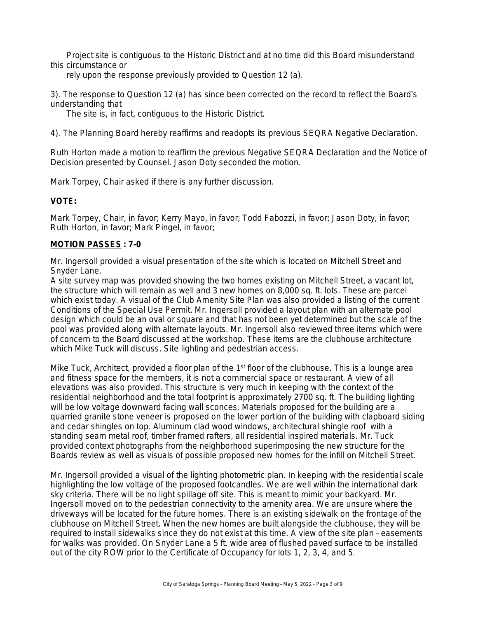Project site is contiguous to the Historic District and at no time did this Board misunderstand this circumstance or

rely upon the response previously provided to Question 12 (a).

3). The response to Question 12 (a) has since been corrected on the record to reflect the Board's understanding that

The site is, in fact, contiguous to the Historic District.

4). The Planning Board hereby reaffirms and readopts its previous SEQRA Negative Declaration.

Ruth Horton made a motion to reaffirm the previous Negative SEQRA Declaration and the Notice of Decision presented by Counsel. Jason Doty seconded the motion.

Mark Torpey, Chair asked if there is any further discussion.

## **VOTE:**

Mark Torpey, Chair, in favor; Kerry Mayo, in favor; Todd Fabozzi, in favor; Jason Doty, in favor; Ruth Horton, in favor; Mark Pingel, in favor;

## **MOTION PASSES : 7-0**

Mr. Ingersoll provided a visual presentation of the site which is located on Mitchell Street and Snyder Lane.

A site survey map was provided showing the two homes existing on Mitchell Street, a vacant lot, the structure which will remain as well and 3 new homes on 8,000 sq. ft. lots. These are parcel which exist today. A visual of the Club Amenity Site Plan was also provided a listing of the current Conditions of the Special Use Permit. Mr. Ingersoll provided a layout plan with an alternate pool design which could be an oval or square and that has not been yet determined but the scale of the pool was provided along with alternate layouts. Mr. Ingersoll also reviewed three items which were of concern to the Board discussed at the workshop. These items are the clubhouse architecture which Mike Tuck will discuss. Site lighting and pedestrian access.

Mike Tuck, Architect, provided a floor plan of the 1<sup>st</sup> floor of the clubhouse. This is a lounge area and fitness space for the members, it is not a commercial space or restaurant. A view of all elevations was also provided. This structure is very much in keeping with the context of the residential neighborhood and the total footprint is approximately 2700 sq. ft. The building lighting will be low voltage downward facing wall sconces. Materials proposed for the building are a quarried granite stone veneer is proposed on the lower portion of the building with clapboard siding and cedar shingles on top. Aluminum clad wood windows, architectural shingle roof with a standing seam metal roof, timber framed rafters, all residential inspired materials. Mr. Tuck provided context photographs from the neighborhood superimposing the new structure for the Boards review as well as visuals of possible proposed new homes for the infill on Mitchell Street.

Mr. Ingersoll provided a visual of the lighting photometric plan. In keeping with the residential scale highlighting the low voltage of the proposed footcandles. We are well within the international dark sky criteria. There will be no light spillage off site. This is meant to mimic your backyard. Mr. Ingersoll moved on to the pedestrian connectivity to the amenity area. We are unsure where the driveways will be located for the future homes. There is an existing sidewalk on the frontage of the clubhouse on Mitchell Street. When the new homes are built alongside the clubhouse, they will be required to install sidewalks since they do not exist at this time. A view of the site plan – easements for walks was provided. On Snyder Lane a 5 ft. wide area of flushed paved surface to be installed out of the city ROW prior to the Certificate of Occupancy for lots 1, 2, 3, 4, and 5.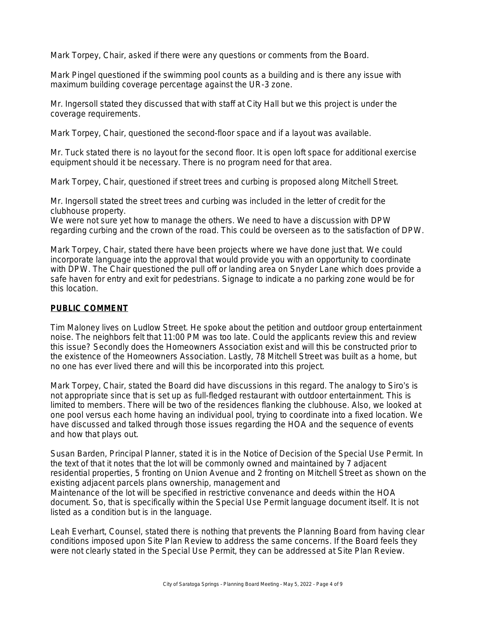Mark Torpey, Chair, asked if there were any questions or comments from the Board.

Mark Pingel questioned if the swimming pool counts as a building and is there any issue with maximum building coverage percentage against the UR-3 zone.

Mr. Ingersoll stated they discussed that with staff at City Hall but we this project is under the coverage requirements.

Mark Torpey, Chair, questioned the second-floor space and if a layout was available.

Mr. Tuck stated there is no layout for the second floor. It is open loft space for additional exercise equipment should it be necessary. There is no program need for that area.

Mark Torpey, Chair, questioned if street trees and curbing is proposed along Mitchell Street.

Mr. Ingersoll stated the street trees and curbing was included in the letter of credit for the clubhouse property.

We were not sure yet how to manage the others. We need to have a discussion with DPW regarding curbing and the crown of the road. This could be overseen as to the satisfaction of DPW.

Mark Torpey, Chair, stated there have been projects where we have done just that. We could incorporate language into the approval that would provide you with an opportunity to coordinate with DPW. The Chair questioned the pull off or landing area on Snyder Lane which does provide a safe haven for entry and exit for pedestrians. Signage to indicate a no parking zone would be for this location.

## **PUBLIC COMMENT**

Tim Maloney lives on Ludlow Street. He spoke about the petition and outdoor group entertainment noise. The neighbors felt that 11:00 PM was too late. Could the applicants review this and review this issue? Secondly does the Homeowners Association exist and will this be constructed prior to the existence of the Homeowners Association. Lastly, 78 Mitchell Street was built as a home, but no one has ever lived there and will this be incorporated into this project.

Mark Torpey, Chair, stated the Board did have discussions in this regard. The analogy to Siro's is not appropriate since that is set up as full-fledged restaurant with outdoor entertainment. This is limited to members. There will be two of the residences flanking the clubhouse. Also, we looked at one pool versus each home having an individual pool, trying to coordinate into a fixed location. We have discussed and talked through those issues regarding the HOA and the sequence of events and how that plays out.

Susan Barden, Principal Planner, stated it is in the Notice of Decision of the Special Use Permit. In the text of that it notes that the lot will be commonly owned and maintained by 7 adjacent residential properties, 5 fronting on Union Avenue and 2 fronting on Mitchell Street as shown on the existing adjacent parcels plans ownership, management and Maintenance of the lot will be specified in restrictive convenance and deeds within the HOA document. So, that is specifically within the Special Use Permit language document itself. It is not listed as a condition but is in the language.

Leah Everhart, Counsel, stated there is nothing that prevents the Planning Board from having clear conditions imposed upon Site Plan Review to address the same concerns. If the Board feels they were not clearly stated in the Special Use Permit, they can be addressed at Site Plan Review.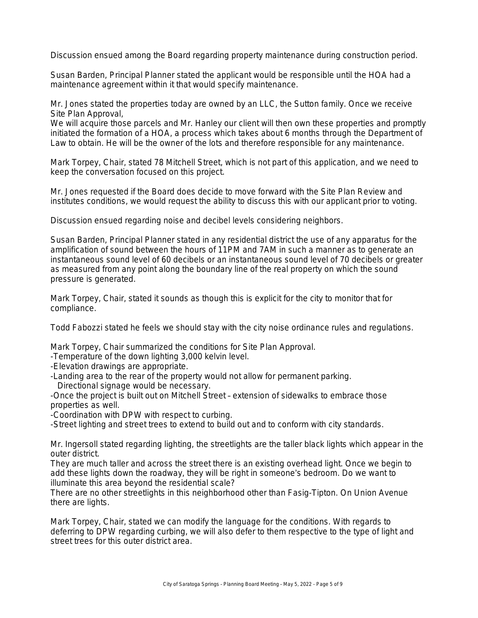Discussion ensued among the Board regarding property maintenance during construction period.

Susan Barden, Principal Planner stated the applicant would be responsible until the HOA had a maintenance agreement within it that would specify maintenance.

Mr. Jones stated the properties today are owned by an LLC, the Sutton family. Once we receive Site Plan Approval,

We will acquire those parcels and Mr. Hanley our client will then own these properties and promptly initiated the formation of a HOA, a process which takes about 6 months through the Department of Law to obtain. He will be the owner of the lots and therefore responsible for any maintenance.

Mark Torpey, Chair, stated 78 Mitchell Street, which is not part of this application, and we need to keep the conversation focused on this project.

Mr. Jones requested if the Board does decide to move forward with the Site Plan Review and institutes conditions, we would request the ability to discuss this with our applicant prior to voting.

Discussion ensued regarding noise and decibel levels considering neighbors.

Susan Barden, Principal Planner stated in any residential district the use of any apparatus for the amplification of sound between the hours of 11PM and 7AM in such a manner as to generate an instantaneous sound level of 60 decibels or an instantaneous sound level of 70 decibels or greater as measured from any point along the boundary line of the real property on which the sound pressure is generated.

Mark Torpey, Chair, stated it sounds as though this is explicit for the city to monitor that for compliance.

Todd Fabozzi stated he feels we should stay with the city noise ordinance rules and regulations.

Mark Torpey, Chair summarized the conditions for Site Plan Approval.

-Temperature of the down lighting 3,000 kelvin level.

-Elevation drawings are appropriate.

-Landing area to the rear of the property would not allow for permanent parking. Directional signage would be necessary.

-Once the project is built out on Mitchell Street – extension of sidewalks to embrace those properties as well.

-Coordination with DPW with respect to curbing.

-Street lighting and street trees to extend to build out and to conform with city standards.

Mr. Ingersoll stated regarding lighting, the streetlights are the taller black lights which appear in the outer district.

They are much taller and across the street there is an existing overhead light. Once we begin to add these lights down the roadway, they will be right in someone's bedroom. Do we want to illuminate this area beyond the residential scale?

There are no other streetlights in this neighborhood other than Fasig-Tipton. On Union Avenue there are lights.

Mark Torpey, Chair, stated we can modify the language for the conditions. With regards to deferring to DPW regarding curbing, we will also defer to them respective to the type of light and street trees for this outer district area.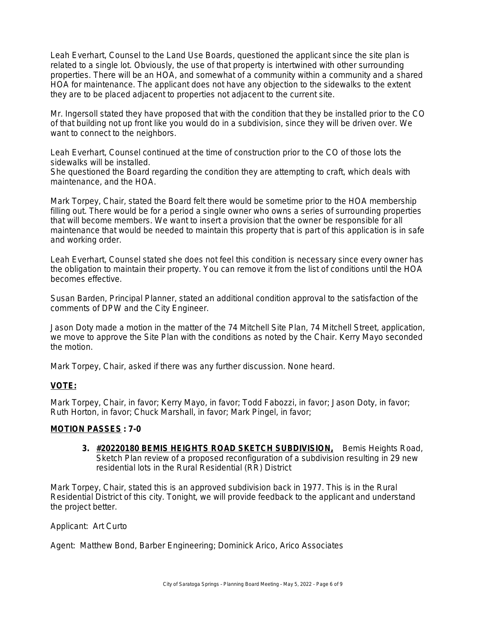Leah Everhart, Counsel to the Land Use Boards, questioned the applicant since the site plan is related to a single lot. Obviously, the use of that property is intertwined with other surrounding properties. There will be an HOA, and somewhat of a community within a community and a shared HOA for maintenance. The applicant does not have any objection to the sidewalks to the extent they are to be placed adjacent to properties not adjacent to the current site.

Mr. Ingersoll stated they have proposed that with the condition that they be installed prior to the CO of that building not up front like you would do in a subdivision, since they will be driven over. We want to connect to the neighbors.

Leah Everhart, Counsel continued at the time of construction prior to the CO of those lots the sidewalks will be installed.

She questioned the Board regarding the condition they are attempting to craft, which deals with maintenance, and the HOA.

Mark Torpey, Chair, stated the Board felt there would be sometime prior to the HOA membership filling out. There would be for a period a single owner who owns a series of surrounding properties that will become members. We want to insert a provision that the owner be responsible for all maintenance that would be needed to maintain this property that is part of this application is in safe and working order.

Leah Everhart, Counsel stated she does not feel this condition is necessary since every owner has the obligation to maintain their property. You can remove it from the list of conditions until the HOA becomes effective.

Susan Barden, Principal Planner, stated an additional condition approval to the satisfaction of the comments of DPW and the City Engineer.

Jason Doty made a motion in the matter of the 74 Mitchell Site Plan, 74 Mitchell Street, application, we move to approve the Site Plan with the conditions as noted by the Chair. Kerry Mayo seconded the motion.

Mark Torpey, Chair, asked if there was any further discussion. None heard.

## **VOTE:**

Mark Torpey, Chair, in favor; Kerry Mayo, in favor; Todd Fabozzi, in favor; Jason Doty, in favor; Ruth Horton, in favor; Chuck Marshall, in favor; Mark Pingel, in favor;

#### **MOTION PASSES : 7-0**

**3. #20220180 BEMIS HEIGHTS ROAD SKETCH SUBDIVISION,** Bemis Heights Road, Sketch Plan review of a proposed reconfiguration of a subdivision resulting in 29 new residential lots in the Rural Residential (RR) District

Mark Torpey, Chair, stated this is an approved subdivision back in 1977. This is in the Rural Residential District of this city. Tonight, we will provide feedback to the applicant and understand the project better.

Applicant: Art Curto

Agent: Matthew Bond, Barber Engineering; Dominick Arico, Arico Associates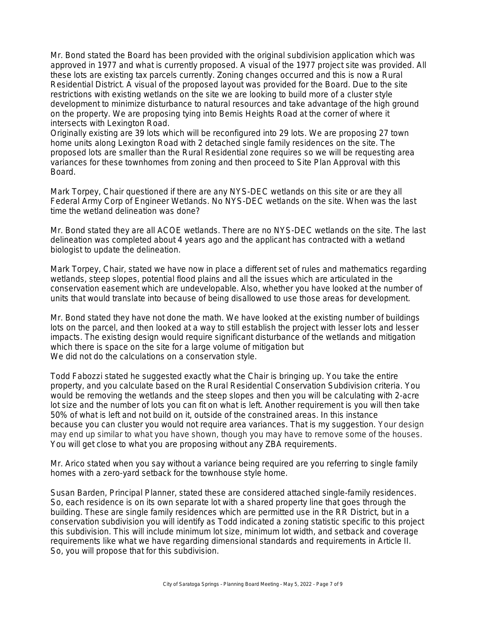Mr. Bond stated the Board has been provided with the original subdivision application which was approved in 1977 and what is currently proposed. A visual of the 1977 project site was provided. All these lots are existing tax parcels currently. Zoning changes occurred and this is now a Rural Residential District. A visual of the proposed layout was provided for the Board. Due to the site restrictions with existing wetlands on the site we are looking to build more of a cluster style development to minimize disturbance to natural resources and take advantage of the high ground on the property. We are proposing tying into Bemis Heights Road at the corner of where it intersects with Lexington Road.

Originally existing are 39 lots which will be reconfigured into 29 lots. We are proposing 27 town home units along Lexington Road with 2 detached single family residences on the site. The proposed lots are smaller than the Rural Residential zone requires so we will be requesting area variances for these townhomes from zoning and then proceed to Site Plan Approval with this Board.

Mark Torpey, Chair questioned if there are any NYS-DEC wetlands on this site or are they all Federal Army Corp of Engineer Wetlands. No NYS-DEC wetlands on the site. When was the last time the wetland delineation was done?

Mr. Bond stated they are all ACOE wetlands. There are no NYS-DEC wetlands on the site. The last delineation was completed about 4 years ago and the applicant has contracted with a wetland biologist to update the delineation.

Mark Torpey, Chair, stated we have now in place a different set of rules and mathematics regarding wetlands, steep slopes, potential flood plains and all the issues which are articulated in the conservation easement which are undevelopable. Also, whether you have looked at the number of units that would translate into because of being disallowed to use those areas for development.

Mr. Bond stated they have not done the math. We have looked at the existing number of buildings lots on the parcel, and then looked at a way to still establish the project with lesser lots and lesser impacts. The existing design would require significant disturbance of the wetlands and mitigation which there is space on the site for a large volume of mitigation but We did not do the calculations on a conservation style.

Todd Fabozzi stated he suggested exactly what the Chair is bringing up. You take the entire property, and you calculate based on the Rural Residential Conservation Subdivision criteria. You would be removing the wetlands and the steep slopes and then you will be calculating with 2-acre lot size and the number of lots you can fit on what is left. Another requirement is you will then take 50% of what is left and not build on it, outside of the constrained areas. In this instance because you can cluster you would not require area variances. That is my suggestion. Your design may end up similar to what you have shown, though you may have to remove some of the houses. You will get close to what you are proposing without any ZBA requirements.

Mr. Arico stated when you say without a variance being required are you referring to single family homes with a zero-yard setback for the townhouse style home.

Susan Barden, Principal Planner, stated these are considered attached single-family residences. So, each residence is on its own separate lot with a shared property line that goes through the building. These are single family residences which are permitted use in the RR District, but in a conservation subdivision you will identify as Todd indicated a zoning statistic specific to this project this subdivision. This will include minimum lot size, minimum lot width, and setback and coverage requirements like what we have regarding dimensional standards and requirements in Article II. So, you will propose that for this subdivision.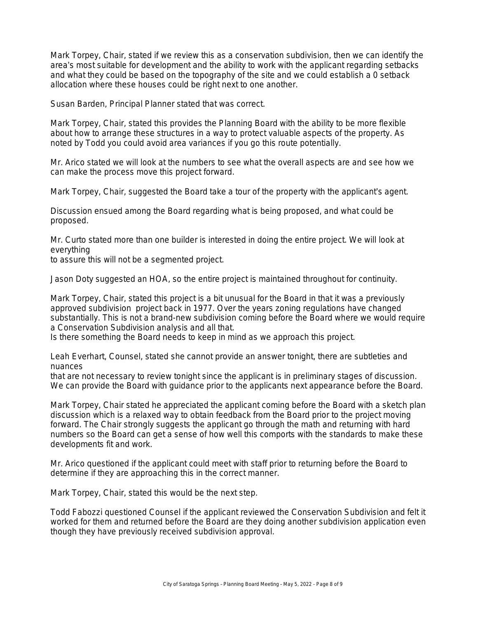Mark Torpey, Chair, stated if we review this as a conservation subdivision, then we can identify the area's most suitable for development and the ability to work with the applicant regarding setbacks and what they could be based on the topography of the site and we could establish a 0 setback allocation where these houses could be right next to one another.

Susan Barden, Principal Planner stated that was correct.

Mark Torpey, Chair, stated this provides the Planning Board with the ability to be more flexible about how to arrange these structures in a way to protect valuable aspects of the property. As noted by Todd you could avoid area variances if you go this route potentially.

Mr. Arico stated we will look at the numbers to see what the overall aspects are and see how we can make the process move this project forward.

Mark Torpey, Chair, suggested the Board take a tour of the property with the applicant's agent.

Discussion ensued among the Board regarding what is being proposed, and what could be proposed.

Mr. Curto stated more than one builder is interested in doing the entire project. We will look at everything

to assure this will not be a segmented project.

Jason Doty suggested an HOA, so the entire project is maintained throughout for continuity.

Mark Torpey, Chair, stated this project is a bit unusual for the Board in that it was a previously approved subdivision project back in 1977. Over the years zoning regulations have changed substantially. This is not a brand-new subdivision coming before the Board where we would require a Conservation Subdivision analysis and all that.

Is there something the Board needs to keep in mind as we approach this project.

Leah Everhart, Counsel, stated she cannot provide an answer tonight, there are subtleties and nuances

that are not necessary to review tonight since the applicant is in preliminary stages of discussion. We can provide the Board with guidance prior to the applicants next appearance before the Board.

Mark Torpey, Chair stated he appreciated the applicant coming before the Board with a sketch plan discussion which is a relaxed way to obtain feedback from the Board prior to the project moving forward. The Chair strongly suggests the applicant go through the math and returning with hard numbers so the Board can get a sense of how well this comports with the standards to make these developments fit and work.

Mr. Arico questioned if the applicant could meet with staff prior to returning before the Board to determine if they are approaching this in the correct manner.

Mark Torpey, Chair, stated this would be the next step.

Todd Fabozzi questioned Counsel if the applicant reviewed the Conservation Subdivision and felt it worked for them and returned before the Board are they doing another subdivision application even though they have previously received subdivision approval.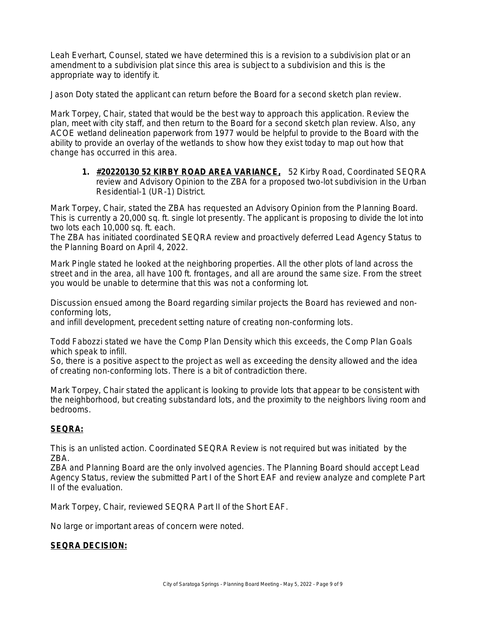Leah Everhart, Counsel, stated we have determined this is a revision to a subdivision plat or an amendment to a subdivision plat since this area is subject to a subdivision and this is the appropriate way to identify it.

Jason Doty stated the applicant can return before the Board for a second sketch plan review.

Mark Torpey, Chair, stated that would be the best way to approach this application. Review the plan, meet with city staff, and then return to the Board for a second sketch plan review. Also, any ACOE wetland delineation paperwork from 1977 would be helpful to provide to the Board with the ability to provide an overlay of the wetlands to show how they exist today to map out how that change has occurred in this area.

**1. #20220130 52 KIRBY ROAD AREA VARIANCE,** 52 Kirby Road, Coordinated SEQRA review and Advisory Opinion to the ZBA for a proposed two-lot subdivision in the Urban Residential-1 (UR-1) District.

Mark Torpey, Chair, stated the ZBA has requested an Advisory Opinion from the Planning Board. This is currently a 20,000 sq. ft. single lot presently. The applicant is proposing to divide the lot into two lots each 10,000 sq. ft. each.

The ZBA has initiated coordinated SEQRA review and proactively deferred Lead Agency Status to the Planning Board on April 4, 2022.

Mark Pingle stated he looked at the neighboring properties. All the other plots of land across the street and in the area, all have 100 ft. frontages, and all are around the same size. From the street you would be unable to determine that this was not a conforming lot.

Discussion ensued among the Board regarding similar projects the Board has reviewed and nonconforming lots,

and infill development, precedent setting nature of creating non-conforming lots.

Todd Fabozzi stated we have the Comp Plan Density which this exceeds, the Comp Plan Goals which speak to infill.

So, there is a positive aspect to the project as well as exceeding the density allowed and the idea of creating non-conforming lots. There is a bit of contradiction there.

Mark Torpey, Chair stated the applicant is looking to provide lots that appear to be consistent with the neighborhood, but creating substandard lots, and the proximity to the neighbors living room and bedrooms.

# **SEQRA:**

This is an unlisted action. Coordinated SEQRA Review is not required but was initiated by the ZBA.

ZBA and Planning Board are the only involved agencies. The Planning Board should accept Lead Agency Status, review the submitted Part I of the Short EAF and review analyze and complete Part II of the evaluation.

Mark Torpey, Chair, reviewed SEQRA Part II of the Short EAF.

No large or important areas of concern were noted.

#### **SEQRA DECISION:**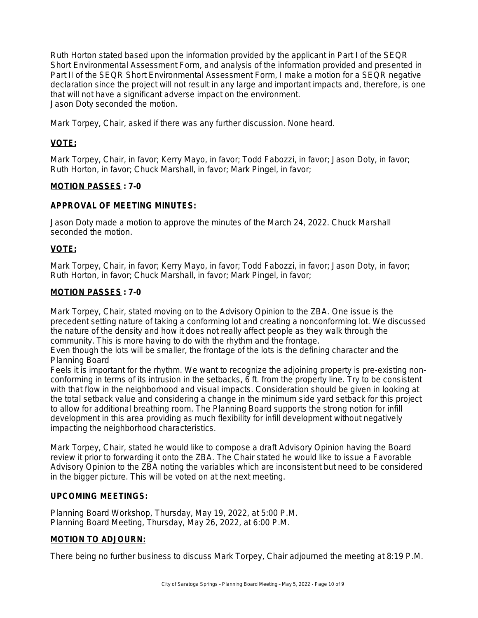Ruth Horton stated based upon the information provided by the applicant in Part I of the SEQR Short Environmental Assessment Form, and analysis of the information provided and presented in Part II of the SEQR Short Environmental Assessment Form, I make a motion for a SEQR negative declaration since the project will not result in any large and important impacts and, therefore, is one that will not have a significant adverse impact on the environment. Jason Doty seconded the motion.

Mark Torpey, Chair, asked if there was any further discussion. None heard.

## **VOTE:**

Mark Torpey, Chair, in favor; Kerry Mayo, in favor; Todd Fabozzi, in favor; Jason Doty, in favor; Ruth Horton, in favor; Chuck Marshall, in favor; Mark Pingel, in favor;

#### **MOTION PASSES : 7-0**

#### **APPROVAL OF MEETING MINUTES:**

Jason Doty made a motion to approve the minutes of the March 24, 2022. Chuck Marshall seconded the motion.

## **VOTE:**

Mark Torpey, Chair, in favor; Kerry Mayo, in favor; Todd Fabozzi, in favor; Jason Doty, in favor; Ruth Horton, in favor; Chuck Marshall, in favor; Mark Pingel, in favor;

#### **MOTION PASSES : 7-0**

Mark Torpey, Chair, stated moving on to the Advisory Opinion to the ZBA. One issue is the precedent setting nature of taking a conforming lot and creating a nonconforming lot. We discussed the nature of the density and how it does not really affect people as they walk through the community. This is more having to do with the rhythm and the frontage.

Even though the lots will be smaller, the frontage of the lots is the defining character and the Planning Board

Feels it is important for the rhythm. We want to recognize the adjoining property is pre-existing nonconforming in terms of its intrusion in the setbacks, 6 ft. from the property line. Try to be consistent with that flow in the neighborhood and visual impacts. Consideration should be given in looking at the total setback value and considering a change in the minimum side yard setback for this project to allow for additional breathing room. The Planning Board supports the strong notion for infill development in this area providing as much flexibility for infill development without negatively impacting the neighborhood characteristics.

Mark Torpey, Chair, stated he would like to compose a draft Advisory Opinion having the Board review it prior to forwarding it onto the ZBA. The Chair stated he would like to issue a Favorable Advisory Opinion to the ZBA noting the variables which are inconsistent but need to be considered in the bigger picture. This will be voted on at the next meeting.

#### **UPCOMING MEETINGS:**

Planning Board Workshop, Thursday, May 19, 2022, at 5:00 P.M. Planning Board Meeting, Thursday, May 26, 2022, at 6:00 P.M.

## **MOTION TO ADJOURN:**

There being no further business to discuss Mark Torpey, Chair adjourned the meeting at 8:19 P.M.